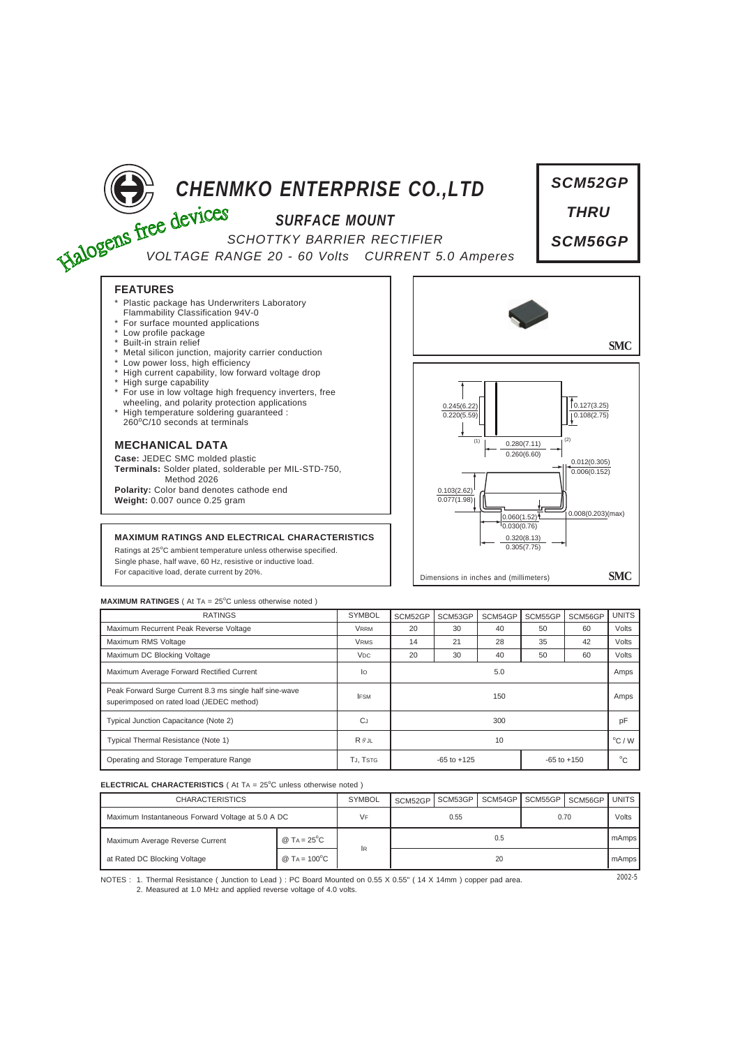

# *SURFACE MOUNT*

**CHENMKO ENTERPRISE CO., LTD**<br>
SCHOTTKY BARRIER POST *SCHOTTKY BARRIER RECTIFIER VOLTAGE RANGE 20 - 60 Volts CURRENT 5.0 Amperes*



**FEATURES**

- Plastic package has Underwriters Laboratory Flammability Classification 94V-0
- 
- \* For surface mounted applications \* Low profile package
- Built-in strain relief
- Metal silicon junction, majority carrier conduction
- Low power loss, high efficiency
- High current capability, low forward voltage drop
- \* High surge capability
- \* For use in low voltage high frequency inverters, free wheeling, and polarity protection applications
- \* High temperature soldering guaranteed : 260<sup>o</sup> C/10 seconds at terminals

## **MECHANICAL DATA**

**Case:** JEDEC SMC molded plastic **Terminals:** Solder plated, solderable per MIL-STD-750, Method 2026 **Polarity:** Color band denotes cathode end **Weight:** 0.007 ounce 0.25 gram

### **MAXIMUM RATINGS AND ELECTRICAL CHARACTERISTICS**

Ratings at 25°C ambient temperature unless otherwise specified. Single phase, half wave, 60 HZ, resistive or inductive load. For capacitive load, derate current by 20%.



#### **MAXIMUM RATINGES** ( At TA = 25°C unless otherwise noted )

| <b>RATINGS</b>                                                                                       | <b>SYMBOL</b>         | SCM52GP                            | SCM53GP | SCM54GP | SCM55GP      | SCM56GP | <b>UNITS</b>    |
|------------------------------------------------------------------------------------------------------|-----------------------|------------------------------------|---------|---------|--------------|---------|-----------------|
| Maximum Recurrent Peak Reverse Voltage                                                               | <b>VRRM</b>           | 20                                 | 30      | 40      | 50           | 60      | Volts           |
| Maximum RMS Voltage                                                                                  | <b>VRMS</b>           | 14                                 | 21      | 28      | 35           | 42      | Volts           |
| Maximum DC Blocking Voltage                                                                          | <b>V<sub>DC</sub></b> | 20                                 | 30      | 40      | 50           | 60      | Volts           |
| Maximum Average Forward Rectified Current                                                            | lo                    | 5.0                                |         |         |              |         | Amps            |
| Peak Forward Surge Current 8.3 ms single half sine-wave<br>superimposed on rated load (JEDEC method) | <b>IFSM</b>           | 150                                |         |         |              |         | Amps            |
| Typical Junction Capacitance (Note 2)                                                                | <b>C</b> J            | 300                                |         |         |              |         | pF              |
| Typical Thermal Resistance (Note 1)                                                                  | $R \theta$ JL         | 10                                 |         |         |              |         | $\rm ^{o}C$ / W |
| Operating and Storage Temperature Range                                                              | TJ, TSTG              | $-65$ to $+125$<br>$-65$ to $+150$ |         |         | $^{\circ}$ C |         |                 |

#### **ELECTRICAL CHARACTERISTICS** ( At TA = 25°C unless otherwise noted )

| <b>CHARACTERISTICS</b>                            |                        | <b>SYMBOL</b> | SCM52GP | SCM53GP | SCM54GPI | SCM55GP | SCM56GP | UNITS I |
|---------------------------------------------------|------------------------|---------------|---------|---------|----------|---------|---------|---------|
| Maximum Instantaneous Forward Voltage at 5.0 A DC |                        | VF            | 0.55    |         |          | 0.70    |         | Volts   |
| Maximum Average Reverse Current                   | @ TA = $25^{\circ}$ C  |               | 0.5     |         |          |         |         | mAmps   |
| at Rated DC Blocking Voltage                      | @ TA = $100^{\circ}$ C | 1R            | 20      |         |          |         |         | mAmps   |

NOTES : 2002-5 1. Thermal Resistance ( Junction to Lead ) : PC Board Mounted on 0.55 X 0.55" ( 14 X 14mm ) copper pad area. 2. Measured at 1.0 MHz and applied reverse voltage of 4.0 volts.